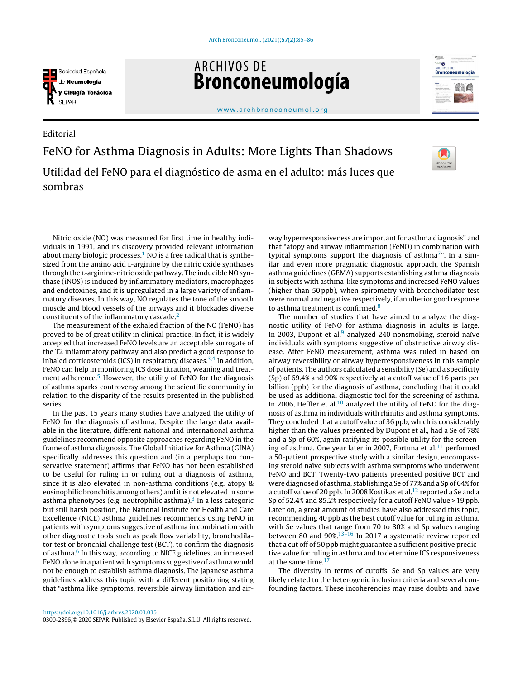

Editorial

**ARCHIVOS DE** Bronconeumología



[www.archbronconeumol.org](http://www.archbronconeumol.org)

FeNO for Asthma Diagnosis in Adults: More Lights Than Shadows Utilidad del FeNO para el diagnóstico de asma en el adulto: más luces que sombras



Nitric oxide (NO) was measured for first time in healthy individuals in 1991, and its discovery provided relevant information about many biologic processes.<sup>1</sup> [N](#page-1-0)O is a free radical that is synthesized from the amino acid L-arginine by the nitric oxide synthases through the l-arginine-nitric oxide pathway. The inducible NO synthase (iNOS) is induced by inflammatory mediators, macrophages and endotoxines, and it is upregulated in a large variety of inflammatory diseases. In this way, NO regulates the tone of the smooth muscle and blood vessels of the airways and it blockades diverse constituents of the inflammatory cascade.<sup>[2](#page-1-0)</sup>

The measurement of the exhaled fraction of the NO (FeNO) has proved to be of great utility in clinical practice. In fact, it is widely accepted that increased FeNO levels are an acceptable surrogate of the T2 inflammatory pathway and also predict a good response to inhaled corticosteroids (ICS) in respiratory diseases. $3,4$  In addition, FeNO can help in monitoring ICS dose titration, weaning and treat-ment adherence.<sup>[5](#page-1-0)</sup> However, the utility of FeNO for the diagnosis of asthma sparks controversy among the scientific community in relation to the disparity of the results presented in the published series.

In the past 15 years many studies have analyzed the utility of FeNO for the diagnosis of asthma. Despite the large data available in the literature, different national and international asthma guidelines recommend opposite approaches regarding FeNO in the frame of asthma diagnosis. The Global Initiative for Asthma (GINA) specifically addresses this question and (in a perphaps too conservative statement) affirms that FeNO has not been established to be useful for ruling in or ruling out a diagnosis of asthma, since it is also elevated in non-asthma conditions (e.g. atopy & eosinophilic bronchitis among others) and it is not elevated in some asthma phenotypes (e.g. neutrophilic asthma).<sup>[3](#page-1-0)</sup> In a less categoric but still harsh position, the National Institute for Health and Care Excellence (NICE) asthma guidelines recommends using FeNO in patients with symptoms suggestive of asthma in combination with other diagnostic tools such as peak flow variability, bronchodilator test or bronchial challenge test (BCT), to confirm the diagnosis of asthma.<sup>[6](#page-1-0)</sup> In this way, according to NICE guidelines, an increased FeNO alone in a patient with symptoms suggestive of asthma would not be enough to establish asthma diagnosis. The Japanese asthma guidelines address this topic with a different positioning stating that "asthma like symptoms, reversible airway limitation and airway hyperresponsiveness are important for asthma diagnosis" and that "atopy and airway inflammation (FeNO) in combination with typical symptoms support the diagnosis of asthma<sup>7</sup>[".](#page-1-0) In a similar and even more pragmatic diagnostic approach, the Spanish asthma guidelines (GEMA) supports establishing asthma diagnosis in subjects with asthma-like symptoms and increased FeNO values (higher than 50 ppb), when spirometry with bronchodilator test were normal and negative respectively, if an ulterior good response to asthma treatment is confirmed.<sup>[8](#page-1-0)</sup>

The number of studies that have aimed to analyze the diagnostic utility of FeNO for asthma diagnosis in adults is large. In 2003, Dupont et al. $9$  analyzed 240 nonsmoking, steroid naïve individuals with symptoms suggestive of obstructive airway disease. After FeNO measurement, asthma was ruled in based on airway reversibility or airway hyperresponsiveness in this sample of patients. The authors calculated a sensibility (Se) and a specificity (Sp) of 69.4% and 90% respectively at a cutoff value of 16 parts per billion (ppb) for the diagnosis of asthma, concluding that it could be used as additional diagnostic tool for the screening of asthma. In 2006, Heffler et al. $10$  analyzed the utility of FeNO for the diagnosis of asthma in individuals with rhinitis and asthma symptoms. They concluded that a cutoff value of 36 ppb, which is considerably higher than the values presented by Dupont et al., had a Se of 78% and a Sp of 60%, again ratifying its possible utility for the screen-ing of asthma. One year later in 2007, Fortuna et al.<sup>[11](#page-1-0)</sup> performed a 50-patient prospective study with a similar design, encompassing steroid naïve subjects with asthma symptoms who underwent FeNO and BCT. Twenty-two patients presented positive BCT and were diagnosed of asthma, stablishing a Se of 77% and a Sp of 64% for a cutoff value of 20 ppb. In 2008 Kostikas et al.<sup>[12](#page-1-0)</sup> reported a Se and a Sp of 52.4% and 85.2% respectively for a cutoff FeNO value > 19 ppb. Later on, a great amount of studies have also addressed this topic, recommending 40 ppb as the best cutoff value for ruling in asthma, with Se values that range from 70 to 80% and Sp values ranging between 80 and 90%.[13–16](#page-1-0) In 2017 a systematic review reported that a cut off of 50 ppb might guarantee a sufficient positive predictive value for ruling in asthma and to determine ICS responsiveness at the same time.<sup>[17](#page-1-0)</sup>

The diversity in terms of cutoffs, Se and Sp values are very likely related to the heterogenic inclusion criteria and several confounding factors. These incoherencies may raise doubts and have